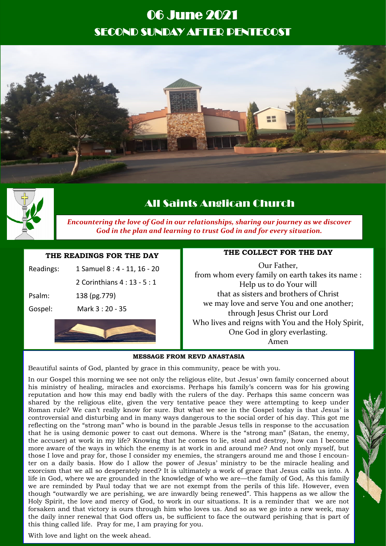# 06 June 2021 SECOND SUNDAY AFTER PENTECOST





# All Saints Anglican Church

*Encountering the love of God in our relationships, sharing our journey as we discover God in the plan and learning to trust God in and for every situation.*

### **THE READINGS FOR THE DAY**

| Gospel:   | Mark 3: 20 - 35              |
|-----------|------------------------------|
| Psalm:    | 138 (pg.779)                 |
|           | 2 Corinthians 4 : 13 - 5 : 1 |
| Readings: | 1 Samuel 8 : 4 - 11, 16 - 20 |

# **THE COLLECT FOR THE DAY**

Our Father, from whom every family on earth takes its name : Help us to do Your will that as sisters and brothers of Christ we may love and serve You and one another; through Jesus Christ our Lord Who lives and reigns with You and the Holy Spirit, One God in glory everlasting. Amen

#### **MESSAGE FROM REVD ANASTASIA**

Beautiful saints of God, planted by grace in this community, peace be with you.

In our Gospel this morning we see not only the religious elite, but Jesus' own family concerned about his ministry of healing, miracles and exorcisms. Perhaps his family's concern was for his growing reputation and how this may end badly with the rulers of the day. Perhaps this same concern was shared by the religious elite, given the very tentative peace they were attempting to keep under Roman rule? We can't really know for sure. But what we see in the Gospel today is that Jesus' is controversial and disturbing and in many ways dangerous to the social order of his day. This got me reflecting on the "strong man" who is bound in the parable Jesus tells in response to the accusation that he is using demonic power to cast out demons. Where is the "strong man" (Satan, the enemy, the accuser) at work in my life? Knowing that he comes to lie, steal and destroy, how can I become more aware of the ways in which the enemy is at work in and around me? And not only myself, but those I love and pray for, those I consider my enemies, the strangers around me and those I encounter on a daily basis. How do I allow the power of Jesus' ministry to be the miracle healing and exorcism that we all so desperately need? It is ultimately a work of grace that Jesus calls us into. A life in God, where we are grounded in the knowledge of who we are—the family of God, As this family we are reminded by Paul today that we are not exempt from the perils of this life. However, even though "outwardly we are perishing, we are inwardly being renewed". This happens as we allow the Holy Spirit, the love and mercy of God, to work in our situations. It is a reminder that we are not forsaken and that victory is ours through him who loves us. And so as we go into a new week, may the daily inner renewal that God offers us, be sufficient to face the outward perishing that is part of this thing called life. Pray for me, I am praying for you.

With love and light on the week ahead.